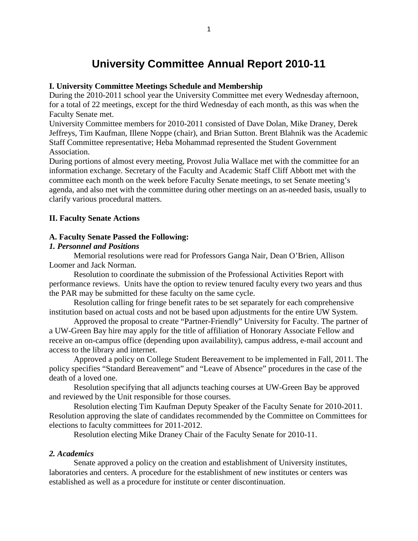# **University Committee Annual Report 2010-11**

## **I. University Committee Meetings Schedule and Membership**

During the 2010-2011 school year the University Committee met every Wednesday afternoon, for a total of 22 meetings, except for the third Wednesday of each month, as this was when the Faculty Senate met.

University Committee members for 2010-2011 consisted of Dave Dolan, Mike Draney, Derek Jeffreys, Tim Kaufman, Illene Noppe (chair), and Brian Sutton. Brent Blahnik was the Academic Staff Committee representative; Heba Mohammad represented the Student Government Association.

During portions of almost every meeting, Provost Julia Wallace met with the committee for an information exchange. Secretary of the Faculty and Academic Staff Cliff Abbott met with the committee each month on the week before Faculty Senate meetings, to set Senate meeting's agenda, and also met with the committee during other meetings on an as-needed basis, usually to clarify various procedural matters.

## **II. Faculty Senate Actions**

## **A. Faculty Senate Passed the Following:**

## *1. Personnel and Positions*

Memorial resolutions were read for Professors Ganga Nair, Dean O'Brien, Allison Loomer and Jack Norman.

Resolution to coordinate the submission of the Professional Activities Report with performance reviews. Units have the option to review tenured faculty every two years and thus the PAR may be submitted for these faculty on the same cycle.

Resolution calling for fringe benefit rates to be set separately for each comprehensive institution based on actual costs and not be based upon adjustments for the entire UW System.

Approved the proposal to create "Partner-Friendly" University for Faculty. The partner of a UW-Green Bay hire may apply for the title of affiliation of Honorary Associate Fellow and receive an on-campus office (depending upon availability), campus address, e-mail account and access to the library and internet.

Approved a policy on College Student Bereavement to be implemented in Fall, 2011. The policy specifies "Standard Bereavement" and "Leave of Absence" procedures in the case of the death of a loved one.

Resolution specifying that all adjuncts teaching courses at UW-Green Bay be approved and reviewed by the Unit responsible for those courses.

Resolution electing Tim Kaufman Deputy Speaker of the Faculty Senate for 2010-2011. Resolution approving the slate of candidates recommended by the Committee on Committees for elections to faculty committees for 2011-2012.

Resolution electing Mike Draney Chair of the Faculty Senate for 2010-11.

#### *2. Academics*

Senate approved a policy on the creation and establishment of University institutes, laboratories and centers. A procedure for the establishment of new institutes or centers was established as well as a procedure for institute or center discontinuation.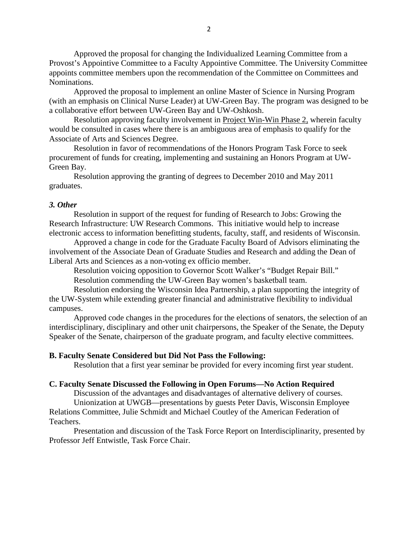Approved the proposal for changing the Individualized Learning Committee from a Provost's Appointive Committee to a Faculty Appointive Committee. The University Committee appoints committee members upon the recommendation of the Committee on Committees and Nominations.

Approved the proposal to implement an online Master of Science in Nursing Program (with an emphasis on Clinical Nurse Leader) at UW-Green Bay. The program was designed to be a collaborative effort between UW-Green Bay and UW-Oshkosh.

Resolution approving faculty involvement in Project Win-Win Phase 2, wherein faculty would be consulted in cases where there is an ambiguous area of emphasis to qualify for the Associate of Arts and Sciences Degree.

Resolution in favor of recommendations of the Honors Program Task Force to seek procurement of funds for creating, implementing and sustaining an Honors Program at UW-Green Bay.

Resolution approving the granting of degrees to December 2010 and May 2011 graduates.

#### *3. Other*

Resolution in support of the request for funding of Research to Jobs: Growing the Research Infrastructure: UW Research Commons. This initiative would help to increase electronic access to information benefitting students, faculty, staff, and residents of Wisconsin.

Approved a change in code for the Graduate Faculty Board of Advisors eliminating the involvement of the Associate Dean of Graduate Studies and Research and adding the Dean of Liberal Arts and Sciences as a non-voting ex officio member.

Resolution voicing opposition to Governor Scott Walker's "Budget Repair Bill." Resolution commending the UW-Green Bay women's basketball team.

Resolution endorsing the Wisconsin Idea Partnership, a plan supporting the integrity of the UW-System while extending greater financial and administrative flexibility to individual campuses.

Approved code changes in the procedures for the elections of senators, the selection of an interdisciplinary, disciplinary and other unit chairpersons, the Speaker of the Senate, the Deputy Speaker of the Senate, chairperson of the graduate program, and faculty elective committees.

#### **B. Faculty Senate Considered but Did Not Pass the Following:**

Resolution that a first year seminar be provided for every incoming first year student.

#### **C. Faculty Senate Discussed the Following in Open Forums—No Action Required**

Discussion of the advantages and disadvantages of alternative delivery of courses. Unionization at UWGB—presentations by guests Peter Davis, Wisconsin Employee

Relations Committee, Julie Schmidt and Michael Coutley of the American Federation of Teachers.

Presentation and discussion of the Task Force Report on Interdisciplinarity, presented by Professor Jeff Entwistle, Task Force Chair.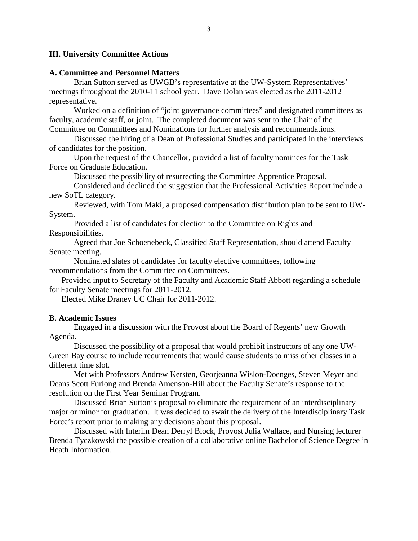## **III. University Committee Actions**

## **A. Committee and Personnel Matters**

Brian Sutton served as UWGB's representative at the UW-System Representatives' meetings throughout the 2010-11 school year. Dave Dolan was elected as the 2011-2012 representative.

Worked on a definition of "joint governance committees" and designated committees as faculty, academic staff, or joint. The completed document was sent to the Chair of the Committee on Committees and Nominations for further analysis and recommendations.

Discussed the hiring of a Dean of Professional Studies and participated in the interviews of candidates for the position.

Upon the request of the Chancellor, provided a list of faculty nominees for the Task Force on Graduate Education.

Discussed the possibility of resurrecting the Committee Apprentice Proposal.

Considered and declined the suggestion that the Professional Activities Report include a new SoTL category.

Reviewed, with Tom Maki, a proposed compensation distribution plan to be sent to UW-System.

Provided a list of candidates for election to the Committee on Rights and Responsibilities.

Agreed that Joe Schoenebeck, Classified Staff Representation, should attend Faculty Senate meeting.

Nominated slates of candidates for faculty elective committees, following recommendations from the Committee on Committees.

Provided input to Secretary of the Faculty and Academic Staff Abbott regarding a schedule for Faculty Senate meetings for 2011-2012.

Elected Mike Draney UC Chair for 2011-2012.

## **B. Academic Issues**

Engaged in a discussion with the Provost about the Board of Regents' new Growth Agenda.

Discussed the possibility of a proposal that would prohibit instructors of any one UW-Green Bay course to include requirements that would cause students to miss other classes in a different time slot.

Met with Professors Andrew Kersten, Georjeanna Wislon-Doenges, Steven Meyer and Deans Scott Furlong and Brenda Amenson-Hill about the Faculty Senate's response to the resolution on the First Year Seminar Program.

Discussed Brian Sutton's proposal to eliminate the requirement of an interdisciplinary major or minor for graduation. It was decided to await the delivery of the Interdisciplinary Task Force's report prior to making any decisions about this proposal.

Discussed with Interim Dean Derryl Block, Provost Julia Wallace, and Nursing lecturer Brenda Tyczkowski the possible creation of a collaborative online Bachelor of Science Degree in Heath Information.